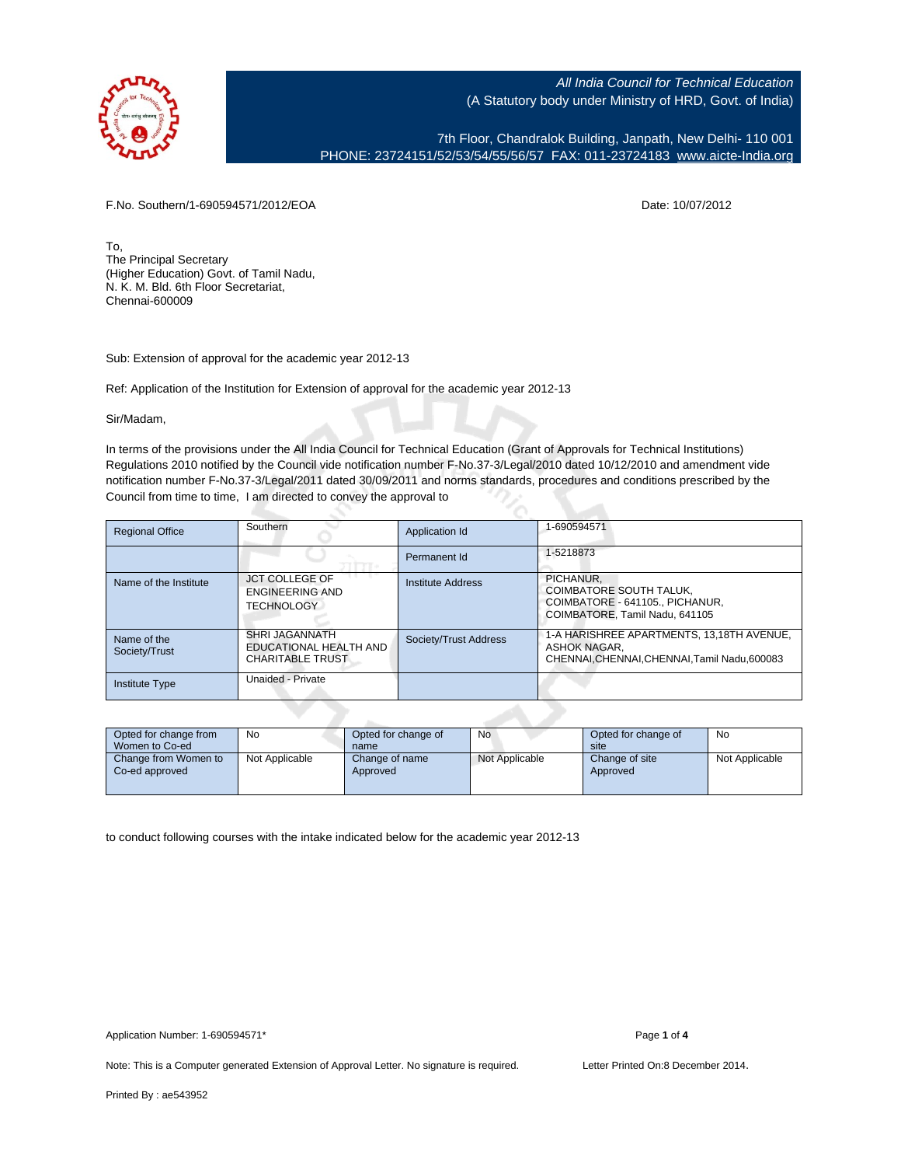

7th Floor, Chandralok Building, Janpath, New Delhi- 110 001 PHONE: 23724151/52/53/54/55/56/57 FAX: 011-23724183 [www.aicte-India.org](http://www.aicte-India.org)

F.No. Southern/1-690594571/2012/EOA Date: 10/07/2012

To, The Principal Secretary (Higher Education) Govt. of Tamil Nadu, N. K. M. Bld. 6th Floor Secretariat, Chennai-600009

Sub: Extension of approval for the academic year 2012-13

Ref: Application of the Institution for Extension of approval for the academic year 2012-13

Sir/Madam,

In terms of the provisions under the All India Council for Technical Education (Grant of Approvals for Technical Institutions) Regulations 2010 notified by the Council vide notification number F-No.37-3/Legal/2010 dated 10/12/2010 and amendment vide notification number F-No.37-3/Legal/2011 dated 30/09/2011 and norms standards, procedures and conditions prescribed by the Council from time to time, I am directed to convey the approval to

| <b>Regional Office</b>       | Southern                                                            | Application Id        | 1-690594571                                                                                                      |
|------------------------------|---------------------------------------------------------------------|-----------------------|------------------------------------------------------------------------------------------------------------------|
|                              |                                                                     | Permanent Id          | 1-5218873                                                                                                        |
| Name of the Institute        | <b>JCT COLLEGE OF</b><br>ENGINEERING AND<br><b>TECHNOLOGY</b>       | Institute Address     | PICHANUR.<br><b>COIMBATORE SOUTH TALUK.</b><br>COIMBATORE - 641105., PICHANUR,<br>COIMBATORE, Tamil Nadu, 641105 |
| Name of the<br>Society/Trust | SHRI JAGANNATH<br>EDUCATIONAL HEALTH AND<br><b>CHARITABLE TRUST</b> | Society/Trust Address | 1-A HARISHREE APARTMENTS, 13.18TH AVENUE.<br>ASHOK NAGAR.<br>CHENNAI.CHENNAI.CHENNAI.Tamil Nadu.600083           |
| <b>Institute Type</b>        | Unaided - Private                                                   |                       |                                                                                                                  |

| Opted for change from<br>Women to Co-ed | No             | Opted for change of<br>name | No             | Opted for change of<br>site | No             |
|-----------------------------------------|----------------|-----------------------------|----------------|-----------------------------|----------------|
| Change from Women to<br>Co-ed approved  | Not Applicable | Change of name<br>Approved  | Not Applicable | Change of site<br>Approved  | Not Applicable |

to conduct following courses with the intake indicated below for the academic year 2012-13

Note: This is a Computer generated Extension of Approval Letter. No signature is required. Letter Printed On:8 December 2014.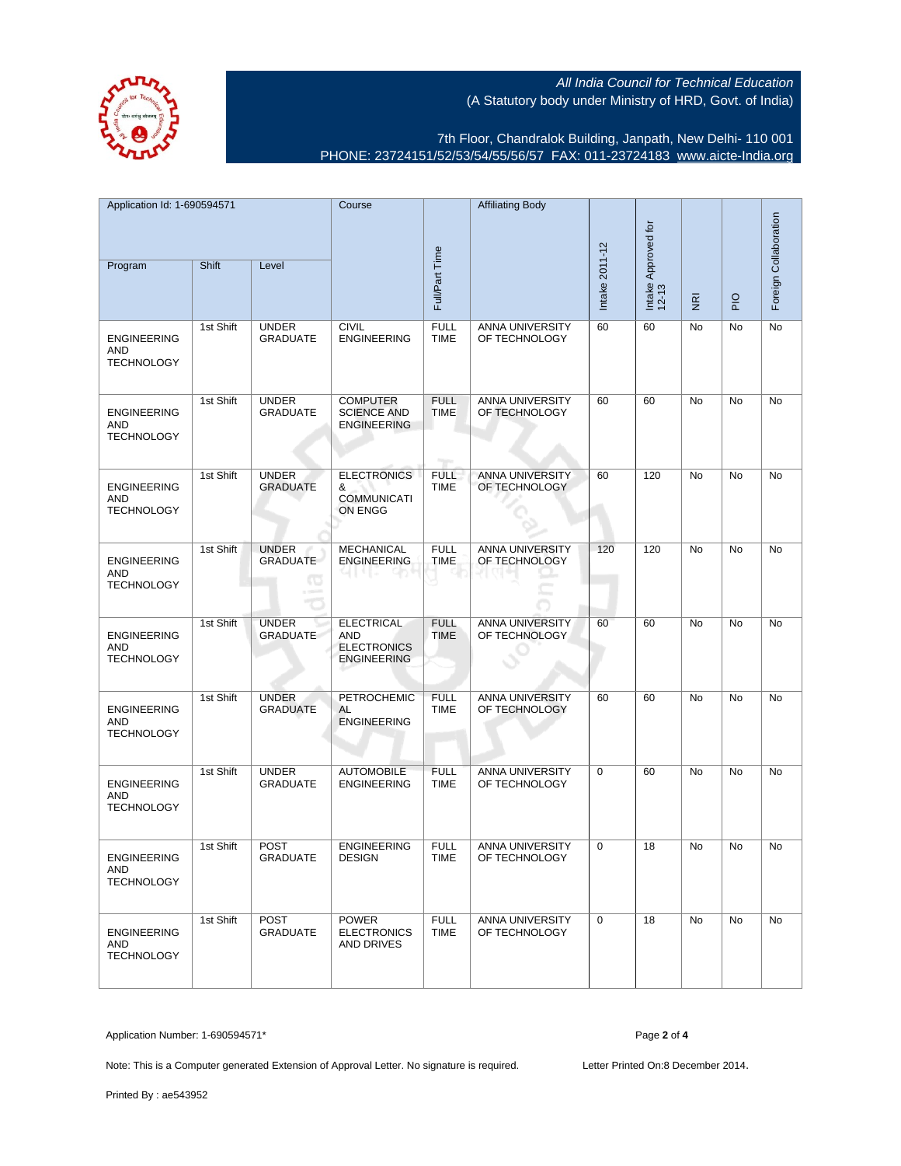

7th Floor, Chandralok Building, Janpath, New Delhi- 110 001 PHONE: 23724151/52/53/54/55/56/57 FAX: 011-23724183 [www.aicte-India.org](http://www.aicte-India.org)

| Application Id: 1-690594571<br>Program                | Shift     | Level                                | Course                                                               | Full/Part Time                     | <b>Affiliating Body</b>          | Intake 2011-12 | Intake Approved for<br>12-13 | $\overline{g}$ | $rac{O}{P}$ | Foreign Collaboration |
|-------------------------------------------------------|-----------|--------------------------------------|----------------------------------------------------------------------|------------------------------------|----------------------------------|----------------|------------------------------|----------------|-------------|-----------------------|
|                                                       |           |                                      |                                                                      |                                    |                                  |                |                              |                |             |                       |
| <b>ENGINEERING</b><br>AND<br><b>TECHNOLOGY</b>        | 1st Shift | <b>UNDER</b><br><b>GRADUATE</b>      | <b>CIVIL</b><br><b>ENGINEERING</b>                                   | <b>FULL</b><br><b>TIME</b>         | ANNA UNIVERSITY<br>OF TECHNOLOGY | 60             | 60                           | No             | No          | No                    |
| <b>ENGINEERING</b><br>AND<br><b>TECHNOLOGY</b>        | 1st Shift | <b>UNDER</b><br><b>GRADUATE</b>      | <b>COMPUTER</b><br><b>SCIENCE AND</b><br><b>ENGINEERING</b>          | <b>FULL</b><br><b>TIME</b><br>nge. | ANNA UNIVERSITY<br>OF TECHNOLOGY | 60             | 60                           | No             | No          | No                    |
| <b>ENGINEERING</b><br>AND<br><b>TECHNOLOGY</b>        | 1st Shift | <b>UNDER</b><br><b>GRADUATE</b>      | <b>ELECTRONICS</b><br>&<br><b>COMMUNICATI</b><br>ON ENGG             | <b>FULL</b><br><b>TIME</b>         | ANNA UNIVERSITY<br>OF TECHNOLOGY | 60             | 120                          | No             | No          | No                    |
| <b>ENGINEERING</b><br>AND<br><b>TECHNOLOGY</b>        | 1st Shift | <b>UNDER</b><br><b>GRADUATE</b><br>œ | <b>MECHANICAL</b><br><b>ENGINEERING</b>                              | <b>FULL</b><br>TIME                | ANNA UNIVERSITY<br>OF TECHNOLOGY | 120            | 120                          | No             | No          | No                    |
| <b>ENGINEERING</b><br><b>AND</b><br><b>TECHNOLOGY</b> | 1st Shift | <b>UNDER</b><br><b>GRADUATE</b>      | <b>ELECTRICAL</b><br>AND<br><b>ELECTRONICS</b><br><b>ENGINEERING</b> | <b>FULL</b><br><b>TIME</b>         | ANNA UNIVERSITY<br>OF TECHNOLOGY | 60             | 60                           | <b>No</b>      | <b>No</b>   | <b>No</b>             |
| <b>ENGINEERING</b><br>AND<br><b>TECHNOLOGY</b>        | 1st Shift | <b>UNDER</b><br><b>GRADUATE</b>      | PETROCHEMIC<br>AL<br><b>ENGINEERING</b>                              | <b>FULL</b><br>TIME                | ANNA UNIVERSITY<br>OF TECHNOLOGY | 60             | 60                           | No             | No          | No                    |
| <b>ENGINEERING</b><br>AND<br><b>TECHNOLOGY</b>        | 1st Shift | <b>UNDER</b><br><b>GRADUATE</b>      | <b>AUTOMOBILE</b><br><b>ENGINEERING</b>                              | <b>FULL</b><br><b>TIME</b>         | ANNA UNIVERSITY<br>OF TECHNOLOGY | $\mathbf 0$    | 60                           | No             | No          | No                    |
| <b>ENGINEERING</b><br><b>AND</b><br><b>TECHNOLOGY</b> | 1st Shift | <b>POST</b><br><b>GRADUATE</b>       | <b>ENGINEERING</b><br><b>DESIGN</b>                                  | <b>FULL</b><br><b>TIME</b>         | ANNA UNIVERSITY<br>OF TECHNOLOGY | $\mathbf 0$    | 18                           | No             | No          | No                    |
| <b>ENGINEERING</b><br>AND<br><b>TECHNOLOGY</b>        | 1st Shift | POST<br><b>GRADUATE</b>              | <b>POWER</b><br><b>ELECTRONICS</b><br>AND DRIVES                     | <b>FULL</b><br><b>TIME</b>         | ANNA UNIVERSITY<br>OF TECHNOLOGY | 0              | 18                           | No             | No          | No                    |

Application Number: 1-690594571\* Page **2** of **4**

Note: This is a Computer generated Extension of Approval Letter. No signature is required. Letter Printed On:8 December 2014.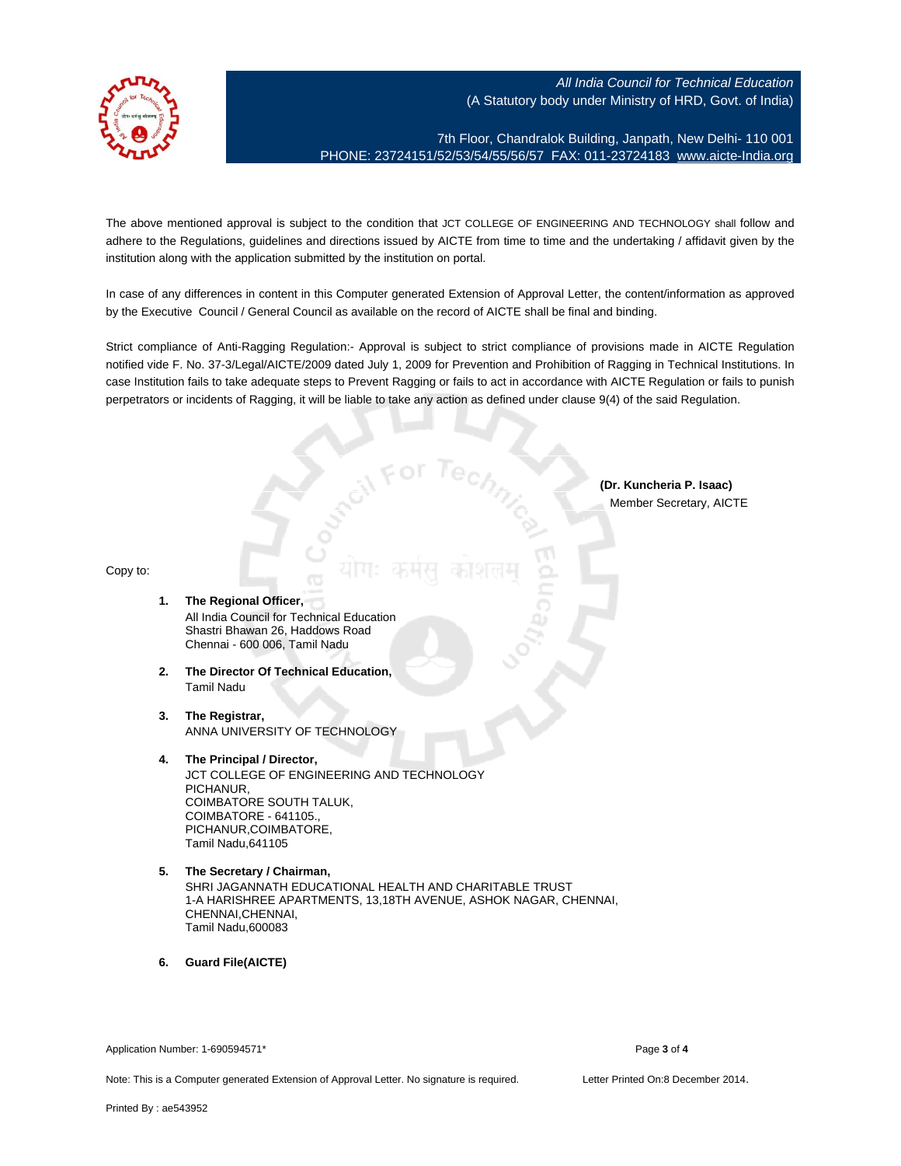

7th Floor, Chandralok Building, Janpath, New Delhi- 110 001 PHONE: 23724151/52/53/54/55/56/57 FAX: 011-23724183 [www.aicte-India.org](http://www.aicte-India.org)

The above mentioned approval is subject to the condition that JCT COLLEGE OF ENGINEERING AND TECHNOLOGY shall follow and adhere to the Regulations, guidelines and directions issued by AICTE from time to time and the undertaking / affidavit given by the institution along with the application submitted by the institution on portal.

In case of any differences in content in this Computer generated Extension of Approval Letter, the content/information as approved by the Executive Council / General Council as available on the record of AICTE shall be final and binding.

Strict compliance of Anti-Ragging Regulation:- Approval is subject to strict compliance of provisions made in AICTE Regulation notified vide F. No. 37-3/Legal/AICTE/2009 dated July 1, 2009 for Prevention and Prohibition of Ragging in Technical Institutions. In case Institution fails to take adequate steps to Prevent Ragging or fails to act in accordance with AICTE Regulation or fails to punish perpetrators or incidents of Ragging, it will be liable to take any action as defined under clause 9(4) of the said Regulation.

> **(Dr. Kuncheria P. Isaac)** Member Secretary, AICTE

## Copy to:

- **1. The Regional Officer,** All India Council for Technical Education Shastri Bhawan 26, Haddows Road Chennai - 600 006, Tamil Nadu
- **2. The Director Of Technical Education,** Tamil Nadu
- **3. The Registrar,** ANNA UNIVERSITY OF TECHNOLOGY
- **4. The Principal / Director,** JCT COLLEGE OF ENGINEERING AND TECHNOLOGY PICHANUR, COIMBATORE SOUTH TALUK, COIMBATORE - 641105., PICHANUR,COIMBATORE, Tamil Nadu,641105
- **5. The Secretary / Chairman,** SHRI JAGANNATH EDUCATIONAL HEALTH AND CHARITABLE TRUST 1-A HARISHREE APARTMENTS, 13,18TH AVENUE, ASHOK NAGAR, CHENNAI, CHENNAI,CHENNAI, Tamil Nadu,600083

**6. Guard File(AICTE)**

Application Number: 1-690594571\* Page **3** of **4**

Note: This is a Computer generated Extension of Approval Letter. No signature is required. Letter Printed On:8 December 2014.